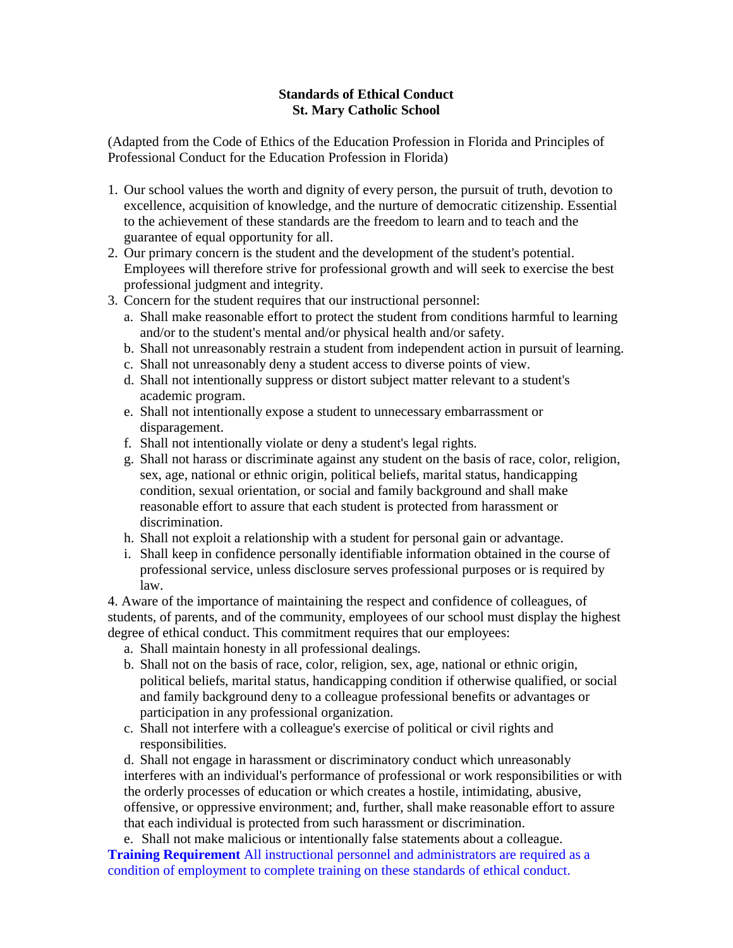## **Standards of Ethical Conduct St. Mary Catholic School**

(Adapted from the Code of Ethics of the Education Profession in Florida and Principles of Professional Conduct for the Education Profession in Florida)

- 1. Our school values the worth and dignity of every person, the pursuit of truth, devotion to excellence, acquisition of knowledge, and the nurture of democratic citizenship. Essential to the achievement of these standards are the freedom to learn and to teach and the guarantee of equal opportunity for all.
- 2. Our primary concern is the student and the development of the student's potential. Employees will therefore strive for professional growth and will seek to exercise the best professional judgment and integrity.
- 3. Concern for the student requires that our instructional personnel:
	- a. Shall make reasonable effort to protect the student from conditions harmful to learning and/or to the student's mental and/or physical health and/or safety.
	- b. Shall not unreasonably restrain a student from independent action in pursuit of learning.
	- c. Shall not unreasonably deny a student access to diverse points of view.
	- d. Shall not intentionally suppress or distort subject matter relevant to a student's academic program.
	- e. Shall not intentionally expose a student to unnecessary embarrassment or disparagement.
	- f. Shall not intentionally violate or deny a student's legal rights.
	- g. Shall not harass or discriminate against any student on the basis of race, color, religion, sex, age, national or ethnic origin, political beliefs, marital status, handicapping condition, sexual orientation, or social and family background and shall make reasonable effort to assure that each student is protected from harassment or discrimination.
	- h. Shall not exploit a relationship with a student for personal gain or advantage.
	- i. Shall keep in confidence personally identifiable information obtained in the course of professional service, unless disclosure serves professional purposes or is required by law.

4. Aware of the importance of maintaining the respect and confidence of colleagues, of students, of parents, and of the community, employees of our school must display the highest degree of ethical conduct. This commitment requires that our employees:

- a. Shall maintain honesty in all professional dealings.
- b. Shall not on the basis of race, color, religion, sex, age, national or ethnic origin, political beliefs, marital status, handicapping condition if otherwise qualified, or social and family background deny to a colleague professional benefits or advantages or participation in any professional organization.
- c. Shall not interfere with a colleague's exercise of political or civil rights and responsibilities.

d. Shall not engage in harassment or discriminatory conduct which unreasonably interferes with an individual's performance of professional or work responsibilities or with the orderly processes of education or which creates a hostile, intimidating, abusive, offensive, or oppressive environment; and, further, shall make reasonable effort to assure that each individual is protected from such harassment or discrimination.

e. Shall not make malicious or intentionally false statements about a colleague. **Training Requirement** All instructional personnel and administrators are required as a condition of employment to complete training on these standards of ethical conduct.